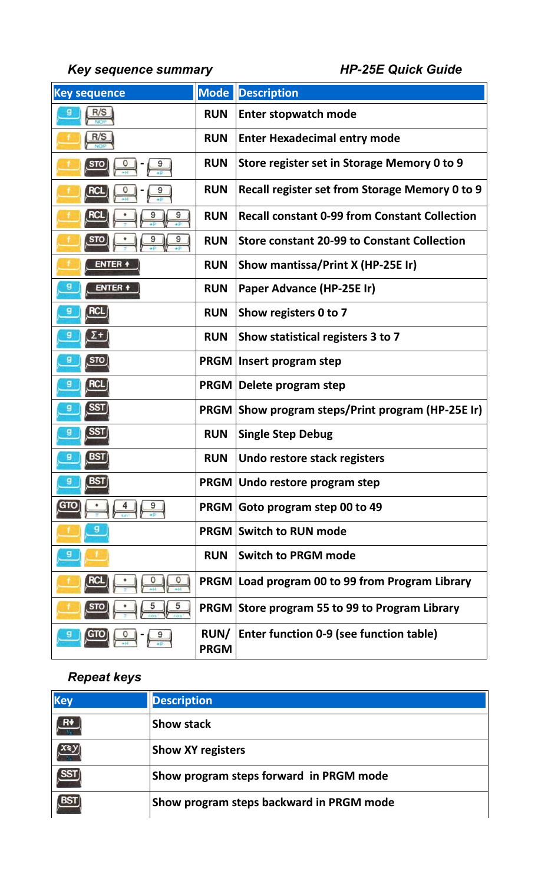*Key sequence summary HP-25E Quick Guide*

| <b>Key sequence</b> | <b>Mode</b>                | <b>Description</b>                                       |
|---------------------|----------------------------|----------------------------------------------------------|
| R/S                 | <b>RUN</b>                 | <b>Enter stopwatch mode</b>                              |
| R/S                 | <b>RUN</b>                 | <b>Enter Hexadecimal entry mode</b>                      |
|                     | <b>RUN</b>                 | Store register set in Storage Memory 0 to 9              |
|                     | <b>RUN</b>                 | Recall register set from Storage Memory 0 to 9           |
|                     | <b>RUN</b>                 | <b>Recall constant 0-99 from Constant Collection</b>     |
|                     | <b>RUN</b>                 | <b>Store constant 20-99 to Constant Collection</b>       |
| ENTER +             | <b>RUN</b>                 | Show mantissa/Print X (HP-25E Ir)                        |
| ENTER +             | <b>RUN</b>                 | Paper Advance (HP-25E Ir)                                |
|                     | <b>RUN</b>                 | Show registers 0 to 7                                    |
|                     | <b>RUN</b>                 | Show statistical registers 3 to 7                        |
|                     | <b>PRGM</b>                | Insert program step                                      |
|                     |                            | PRGM Delete program step                                 |
|                     |                            | <b>PRGM Show program steps/Print program (HP-25E Ir)</b> |
|                     | <b>RUN</b>                 | <b>Single Step Debug</b>                                 |
|                     | <b>RUN</b>                 | Undo restore stack registers                             |
| <b>BST</b>          |                            | PRGM   Undo restore program step                         |
|                     |                            | PRGM Goto program step 00 to 49                          |
|                     | <b>PRGM</b>                | <b>Switch to RUN mode</b>                                |
|                     | <b>RUN</b>                 | <b>Switch to PRGM mode</b>                               |
|                     | <b>PRGM</b>                | Load program 00 to 99 from Program Library               |
|                     | <b>PRGM</b>                | Store program 55 to 99 to Program Library                |
|                     | <b>RUN/</b><br><b>PRGM</b> | Enter function 0-9 (see function table)                  |

## *Repeat keys*

| <b>Key</b>   | <b>Description</b>                       |
|--------------|------------------------------------------|
| $\mathbf{R}$ | <b>Show stack</b>                        |
|              | <b>Show XY registers</b>                 |
|              | Show program steps forward in PRGM mode  |
|              | Show program steps backward in PRGM mode |